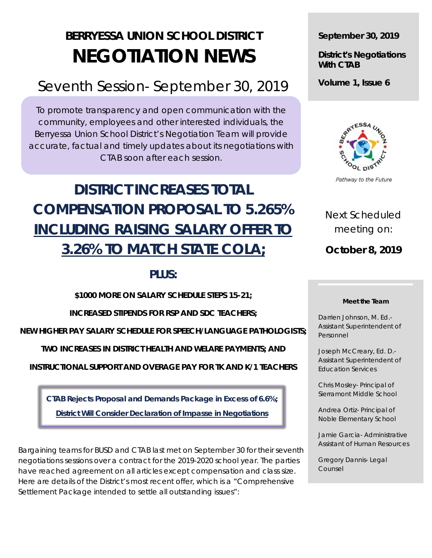# **BERRYESSA UNION SCHOOL DISTRICT NEGOTIATION NEWS**

## Seventh Session- September 30, 2019

To promote transparency and open communication with the community, employees and other interested individuals, the Berryessa Union School District's Negotiation Team will provide accurate, factual and timely updates about its negotiations with CTAB soon after each session.

# **DISTRICT INCREASES TOTAL COMPENSATION PROPOSAL TO 5.265% INCLUDING RAISING SALARY OFFER TO 3.26% TO MATCH STATE COLA;**

### **PLUS:**

**\$1000 MORE ON SALARY SCHEDULE STEPS 15-21;**

**INCREASED STIPENDS FOR RSP AND SDC TEACHERS;**

**NEW HIGHER PAY SALARY SCHEDULE FOR SPEECH/LANGUAGE PATHOLOGISTS;**

**TWO INCREASES IN DISTRICT HEALTH AND WELARE PAYMENTS; AND** 

**INSTRUCTIONAL SUPPORT AND OVERAGE PAY FOR TK AND K/1 TEACHERS**

**CTAB Rejects Proposal and Demands Package in Excess of 6.6%; District Will Consider Declaration of Impasse in Negotiations**

Bargaining teams for BUSD and CTAB last met on September 30 for their seventh negotiations sessions over a contract for the 2019-2020 school year. The parties have reached agreement on all articles except compensation and class size. Here are details of the District's most recent offer, which is a "Comprehensive Settlement Package intended to settle all outstanding issues":

**September 30, 2019**

**District's Negotiations With CTAB**

**Volume 1, Issue 6**



Pathway to the Future

Next Scheduled meeting on:

**October 8, 2019**

#### **Meet the Team**

Darrien Johnson, M. Ed.- Assistant Superintendent of Personnel

Joseph McCreary, Ed. D.- Assistant Superintendent of Education Services

Chris Mosley- Principal of Sierramont Middle School

Andrea Ortiz- Principal of Noble Elementary School

Jamie Garcia- Administrative Assistant of Human Resources

Gregory Dannis- Legal Counsel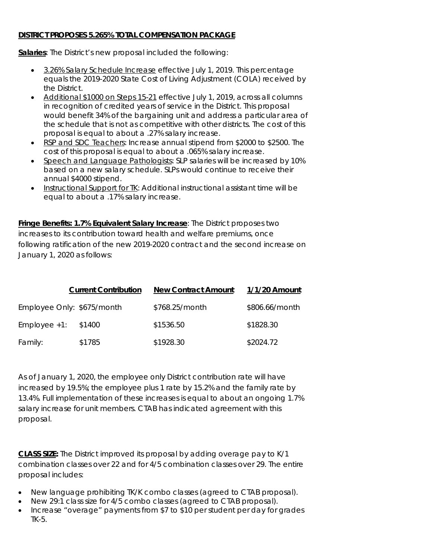### **DISTRICT PROPOSES 5.265% TOTAL COMPENSATION PACKAGE**

**Salaries**: The District's new proposal included the following:

- 3.26% Salary Schedule Increase effective July 1, 2019. This percentage equals the 2019-2020 State Cost of Living Adjustment (COLA) received by the District.
- Additional \$1000 on Steps 15-21 effective July 1, 2019, across all columns in recognition of credited years of service in the District. This proposal would benefit 34% of the bargaining unit and address a particular area of the schedule that is not as competitive with other districts. The cost of this proposal is equal to about a .27% salary increase.
- RSP and SDC Teachers: Increase annual stipend from \$2000 to \$2500. The cost of this proposal is equal to about a .065% salary increase.
- Speech and Language Pathologists: SLP salaries will be increased by 10% based on a new salary schedule. SLPs would continue to receive their annual \$4000 stipend.
- Instructional Support for TK: Additional instructional assistant time will be equal to about a .17% salary increase.

**Fringe Benefits: 1.7% Equivalent Salary Increase**: The District proposes two increases to its contribution toward health and welfare premiums, once following ratification of the new 2019-2020 contract and the second increase on January 1, 2020 as follows:

|                            | <b>Current Contribution</b> | <b>New Contract Amount</b> | 1/1/20 Amount  |
|----------------------------|-----------------------------|----------------------------|----------------|
| Employee Only: \$675/month |                             | \$768.25/month             | \$806.66/month |
| $Employee +1:$             | \$1400                      | \$1536.50                  | \$1828.30      |
| Family:                    | \$1785                      | \$1928.30                  | \$2024.72      |

As of January 1, 2020, the employee only District contribution rate will have increased by 19.5%; the employee plus 1 rate by 15.2% and the family rate by 13.4%. Full implementation of these increases is equal to about an ongoing 1.7% salary increase for unit members. CTAB has indicated agreement with this proposal.

**CLASS SIZE:** The District improved its proposal by adding overage pay to K/1 combination classes over 22 and for 4/5 combination classes over 29. The entire proposal includes:

- New language prohibiting TK/K combo classes (agreed to CTAB proposal).
- New 29:1 class size for 4/5 combo classes (agreed to CTAB proposal).
- Increase "overage" payments from \$7 to \$10 per student per day for grades TK-5.